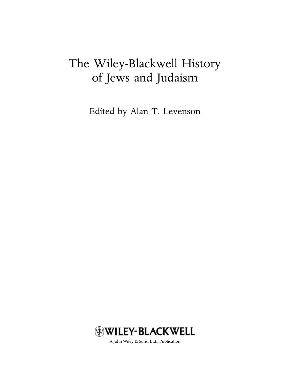# The Wiley-Blackwell History of Jews and Judaism

Edited by Alan T. Levenson



A John Wiley & Sons, Ltd., Publication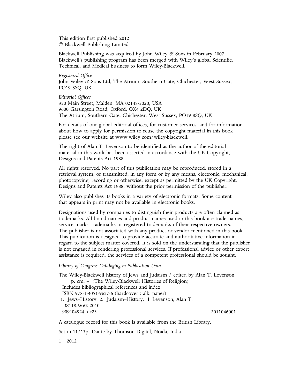This edition first published 2012  $©$  Blackwell Publishing Limited

Blackwell Publishing was acquired by John Wiley & Sons in February 2007. Blackwell's publishing program has been merged with Wiley's global Scientific, Technical, and Medical business to form Wiley-Blackwell.

Registered Office John Wiley & Sons Ltd, The Atrium, Southern Gate, Chichester, West Sussex, PO19 8SQ, UK

Editorial Offices 350 Main Street, Malden, MA 02148-5020, USA 9600 Garsington Road, Oxford, OX4 2DQ, UK The Atrium, Southern Gate, Chichester, West Sussex, PO19 8SQ, UK

For details of our global editorial offices, for customer services, and for information about how to apply for permission to reuse the copyright material in this book please see our website at www.wiley.com/wiley-blackwell.

The right of Alan T. Levenson to be identified as the author of the editorial material in this work has been asserted in accordance with the UK Copyright, Designs and Patents Act 1988.

All rights reserved. No part of this publication may be reproduced, stored in a retrieval system, or transmitted, in any form or by any means, electronic, mechanical, photocopying, recording or otherwise, except as permitted by the UK Copyright, Designs and Patents Act 1988, without the prior permission of the publisher.

Wiley also publishes its books in a variety of electronic formats. Some content that appears in print may not be available in electronic books.

Designations used by companies to distinguish their products are often claimed as trademarks. All brand names and product names used in this book are trade names, service marks, trademarks or registered trademarks of their respective owners. The publisher is not associated with any product or vendor mentioned in this book. This publication is designed to provide accurate and authoritative information in regard to the subject matter covered. It is sold on the understanding that the publisher is not engaged in rendering professional services. If professional advice or other expert assistance is required, the services of a competent professional should be sought.

Library of Congress Cataloging-in-Publication Data

The Wiley-Blackwell history of Jews and Judaism / edited by Alan T. Levenson. p. cm. – (The Wiley-Blackwell Histories of Religion) Includes bibliographical references and index. ISBN 978-1-4051-9637-6 (hardcover : alk. paper) 1. Jews–History. 2. Judaism–History. I. Levenson, Alan T. DS118.W62 2010 909'.04924–dc23 2011046001

A catalogue record for this book is available from the British Library.

Set in 11/13pt Dante by Thomson Digital, Noida, India

1 2012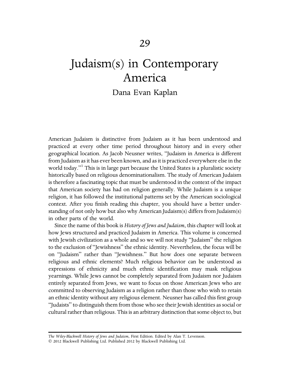# Judaism(s) in Contemporary America

## Dana Evan Kaplan

American Judaism is distinctive from Judaism as it has been understood and practiced at every other time period throughout history and in every other geographical location. As Jacob Neusner writes, "Judaism in America is different from Judaism as it has ever been known, and as it is practiced everywhere else in the world today."<sup>1</sup> This is in large part because the United States is a pluralistic society historically based on religious denominationalism. The study of American Judaism is therefore a fascinating topic that must be understood in the context of the impact that American society has had on religion generally. While Judaism is a unique religion, it has followed the institutional patterns set by the American sociological context. After you finish reading this chapter, you should have a better understanding of not only how but also why American Judaism(s) differs from Judaism(s) in other parts of the world.

Since the name of this book is History of Jews and Judaism, this chapter will look at how Jews structured and practiced Judaism in America. This volume is concerned with Jewish civilization as a whole and so we will not study "Judaism" the religion to the exclusion of "Jewishness" the ethnic identity. Nevertheless, the focus will be on "Judaism" rather than "Jewishness." But how does one separate between religious and ethnic elements? Much religious behavior can be understood as expressions of ethnicity and much ethnic identification may mask religious yearnings. While Jews cannot be completely separated from Judaism nor Judaism entirely separated from Jews, we want to focus on those American Jews who are committed to observing Judaism as a religion rather than those who wish to retain an ethnic identity without any religious element. Neusner has called this first group "Judaists" to distinguish them from those who see their Jewish identities as social or cultural rather than religious. This is an arbitrary distinction that some object to, but

The Wiley-Blackwell History of Jews and Judaism, First Edition. Edited by Alan T. Levenson.

<sup>!</sup> 2012 Blackwell Publishing Ltd. Published 2012 by Blackwell Publishing Ltd.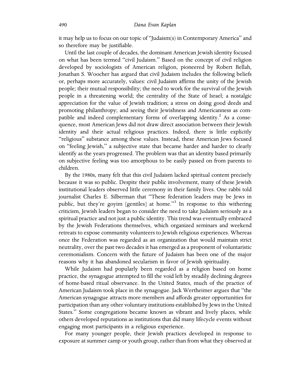it may help us to focus on our topic of "Judaism(s) in Contemporary America" and so therefore may be justifiable.

Until the last couple of decades, the dominant American Jewish identity focused on what has been termed "civil Judaism." Based on the concept of civil religion developed by sociologists of American religion, pioneered by Robert Bellah, Jonathan S. Woocher has argued that civil Judaism includes the following beliefs or, perhaps more accurately, values: civil Judaism affirms the unity of the Jewish people; their mutual responsibility; the need to work for the survival of the Jewish people in a threatening world; the centrality of the State of Israel; a nostalgic appreciation for the value of Jewish tradition; a stress on doing good deeds and promoting philanthropy; and seeing their Jewishness and Americanness as compatible and indeed complementary forms of overlapping identity.<sup>2</sup> As a consequence, most American Jews did not draw direct association between their Jewish identity and their actual religious practices. Indeed, there is little explicitly "religious" substance among these values. Instead, these American Jews focused on "feeling Jewish," a subjective state that became harder and harder to clearly identify as the years progressed. The problem was that an identity based primarily on subjective feeling was too amorphous to be easily passed on from parents to children.

By the 1980s, many felt that this civil Judaism lacked spiritual content precisely because it was so public. Despite their public involvement, many of these Jewish institutional leaders observed little ceremony in their family lives. One rabbi told journalist Charles E. Silberman that "These federation leaders may be Jews in public, but they're goyim [gentiles] at home."<sup>3</sup> In response to this withering criticism, Jewish leaders began to consider the need to take Judaism seriously as a spiritual practice and not just a public identity. This trend was eventually embraced by the Jewish Federations themselves, which organized seminars and weekend retreats to expose community volunteers to Jewish religious experiences. Whereas once the Federation was regarded as an organization that would maintain strict neutrality, over the past two decades it has emerged as a proponent of voluntaristic ceremonialism. Concern with the future of Judaism has been one of the major reasons why it has abandoned secularism in favor of Jewish spirituality.

While Judaism had popularly been regarded as a religion based on home practice, the synagogue attempted to fill the void left by steadily declining degrees of home-based ritual observance. In the United States, much of the practice of American Judaism took place in the synagogue. Jack Wertheimer argues that "the American synagogue attracts more members and affords greater opportunities for participation than any other voluntary institutions established by Jews in the United States." Some congregations became known as vibrant and lively places, while others developed reputations as institutions that did many lifecycle events without engaging most participants in a religious experience.

For many younger people, their Jewish practices developed in response to exposure at summer camp or youth group, rather than from what they observed at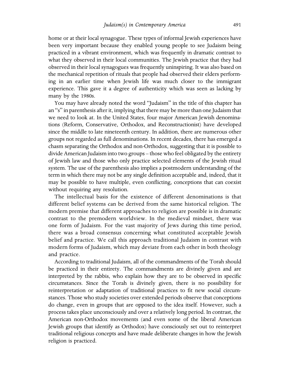home or at their local synagogue. These types of informal Jewish experiences have been very important because they enabled young people to see Judaism being practiced in a vibrant environment, which was frequently in dramatic contrast to what they observed in their local communities. The Jewish practice that they had observed in their local synagogues was frequently uninspiring. It was also based on the mechanical repetition of rituals that people had observed their elders performing in an earlier time when Jewish life was much closer to the immigrant experience. This gave it a degree of authenticity which was seen as lacking by many by the 1980s.

You may have already noted the word "Judaism" in the title of this chapter has an "s" in parenthesis after it, implying that there may be more than one Judaism that we need to look at. In the United States, four major American Jewish denominations (Reform, Conservative, Orthodox, and Reconstructionist) have developed since the middle to late nineteenth century. In addition, there are numerous other groups not regarded as full denominations. In recent decades, there has emerged a chasm separating the Orthodox and non-Orthodox, suggesting that it is possible to divide American Judaism into two groups – those who feel obligated by the entirety of Jewish law and those who only practice selected elements of the Jewish ritual system. The use of the parenthesis also implies a postmodern understanding of the term in which there may not be any single definition acceptable and, indeed, that it may be possible to have multiple, even conflicting, conceptions that can coexist without requiring any resolution.

The intellectual basis for the existence of different denominations is that different belief systems can be derived from the same historical religion. The modern premise that different approaches to religion are possible is in dramatic contrast to the premodern worldview. In the medieval mindset, there was one form of Judaism. For the vast majority of Jews during this time period, there was a broad consensus concerning what constituted acceptable Jewish belief and practice. We call this approach traditional Judaism in contrast with modern forms of Judaism, which may deviate from each other in both theology and practice.

According to traditional Judaism, all of the commandments of the Torah should be practiced in their entirety. The commandments are divinely given and are interpreted by the rabbis, who explain how they are to be observed in specific circumstances. Since the Torah is divinely given, there is no possibility for reinterpretation or adaptation of traditional practices to fit new social circumstances. Those who study societies over extended periods observe that conceptions do change, even in groups that are opposed to the idea itself. However, such a process takes place unconsciously and over a relatively long period. In contrast, the American non-Orthodox movements (and even some of the liberal American Jewish groups that identify as Orthodox) have consciously set out to reinterpret traditional religious concepts and have made deliberate changes in how the Jewish religion is practiced.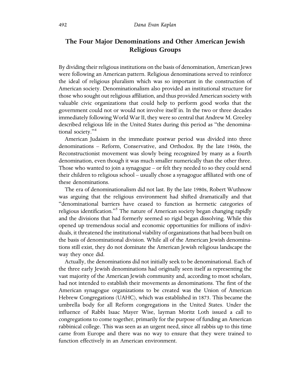## The Four Major Denominations and Other American Jewish Religious Groups

By dividing their religious institutions on the basis of denomination, American Jews were following an American pattern. Religious denominations served to reinforce the ideal of religious pluralism which was so important in the construction of American society. Denominationalism also provided an institutional structure for those who sought out religious affiliation, and thus provided American society with valuable civic organizations that could help to perform good works that the government could not or would not involve itself in. In the two or three decades immediately following World War II, they were so central that Andrew M. Greeley described religious life in the United States during this period as "the denominational society."<sup>4</sup>

American Judaism in the immediate postwar period was divided into three denominations – Reform, Conservative, and Orthodox. By the late 1960s, the Reconstructionist movement was slowly being recognized by many as a fourth denomination, even though it was much smaller numerically than the other three. Those who wanted to join a synagogue – or felt they needed to so they could send their children to religious school – usually chose a synagogue affiliated with one of these denominations.

The era of denominationalism did not last. By the late 1980s, Robert Wuthnow was arguing that the religious environment had shifted dramatically and that "denominational barriers have ceased to function as hermetic categories of religious identification."<sup>5</sup> The nature of American society began changing rapidly and the divisions that had formerly seemed so rigid began dissolving. While this opened up tremendous social and economic opportunities for millions of individuals, it threatened the institutional viability of organizations that had been built on the basis of denominational division. While all of the American Jewish denominations still exist, they do not dominate the American Jewish religious landscape the way they once did.

Actually, the denominations did not initially seek to be denominational. Each of the three early Jewish denominations had originally seen itself as representing the vast majority of the American Jewish community and, according to most scholars, had not intended to establish their movements as denominations. The first of the American synagogue organizations to be created was the Union of American Hebrew Congregations (UAHC), which was established in 1873. This became the umbrella body for all Reform congregations in the United States. Under the influence of Rabbi Isaac Mayer Wise, layman Moritz Loth issued a call to congregations to come together, primarily for the purpose of funding an American rabbinical college. This was seen as an urgent need, since all rabbis up to this time came from Europe and there was no way to ensure that they were trained to function effectively in an American environment.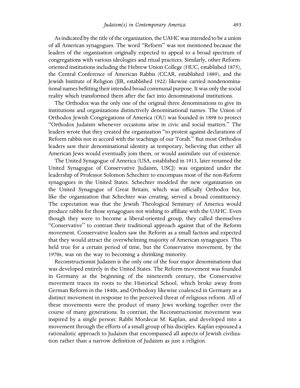As indicated by the title of the organization, the UAHC was intended to be a union of all American synagogues. The word "Reform" was not mentioned because the leaders of the organization originally expected to appeal to a broad spectrum of congregations with various ideologies and ritual practices. Similarly, other Reformoriented institutions including the Hebrew Union College (HUC, established 1875), the Central Conference of American Rabbis (CCAR, established 1889), and the Jewish Institute of Religion (JIR, established 1922) likewise carried nondenominational names befitting their intended broad communal purpose. It was only the social reality which transformed them after the fact into denominational institutions.

The Orthodox was the only one of the original three denominations to give its institutions and organizations distinctively denominational names. The Union of Orthodox Jewish Congregations of America (OU) was founded in 1898 to protect "Orthodox Judaism whenever occasions arise in civic and social matters." The leaders wrote that they created the organization "to protest against declarations of Reform rabbis not in accord with the teachings of our Torah." But most Orthodox leaders saw their denominational identity as temporary, believing that either all American Jews would eventually join them, or would assimilate out of existence.

The United Synagogue of America (USA, established in 1913, later renamed the United Synagogue of Conservative Judaism, USCJ) was organized under the leadership of Professor Solomon Schechter to encompass most of the non-Reform synagogues in the United States. Schechter modeled the new organization on the United Synagogue of Great Britain, which was officially Orthodox but, like the organization that Schechter was creating, served a broad constituency. The expectation was that the Jewish Theological Seminary of America would produce rabbis for those synagogues not wishing to affiliate with the UAHC. Even though they were to become a liberal-oriented group, they called themselves "Conservative" to contrast their traditional approach against that of the Reform movement. Conservative leaders saw the Reform as a small faction and expected that they would attract the overwhelming majority of American synagogues. This held true for a certain period of time, but the Conservative movement, by the 1970s, was on the way to becoming a shrinking minority.

Reconstructionist Judaism is the only one of the four major denominations that was developed entirely in the United States. The Reform movement was founded in Germany at the beginning of the nineteenth century, the Conservative movement traces its roots to the Historical School, which broke away from German Reform in the 1840s, and Orthodoxy likewise coalesced in Germany as a distinct movement in response to the perceived threat of religious reform. All of these movements were the product of many Jews working together over the course of many generations. In contrast, the Reconstructionist movement was inspired by a single person: Rabbi Mordecai M. Kaplan, and developed into a movement through the efforts of a small group of his disciples. Kaplan espoused a rationalistic approach to Judaism that encompassed all aspects of Jewish civilization rather than a narrow definition of Judaism as just a religion.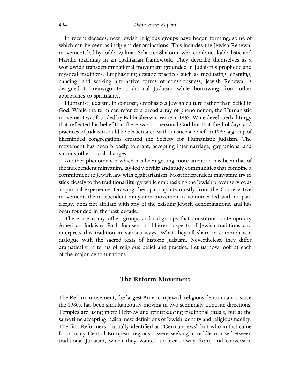In recent decades, new Jewish religious groups have begun forming, some of which can be seen as incipient denominations. This includes the Jewish Renewal movement, led by Rabbi Zalman Schacter-Shalomi, who combines kabbalistic and Hasidic teachings in an egalitarian framework. They describe themselves as a worldwide transdenominational movement grounded in Judaism's prophetic and mystical traditions. Emphasizing ecstatic practices such as meditating, chanting, dancing, and seeking alternative forms of consciousness, Jewish Renewal is designed to reinvigorate traditional Judaism while borrowing from other approaches to spirituality.

Humanist Judaism, in contrast, emphasizes Jewish culture rather than belief in God. While the term can refer to a broad array of phenomenon, the Humanistic movement was founded by Rabbi Sherwin Wine in 1963. Wine developed a liturgy that reflected his belief that there was no personal God but that the holidays and practices of Judaism could be perpetuated without such a belief. In 1969, a group of likeminded congregations created the Society for Humanistic Judaism. The movement has been broadly tolerant, accepting intermarriage, gay unions, and various other social changes.

Another phenomenon which has been getting more attention has been that of the independent minyanim, lay-led worship and study communities that combine a commitment to Jewish law with egalitarianism. Most independent minyanim try to stick closely to the traditional liturgy while emphasizing the Jewish prayer service as a spiritual experience. Drawing their participants mostly from the Conservative movement, the independent minyanim movement is volunteer led with no paid clergy, does not affiliate with any of the existing Jewish denominations, and has been founded in the past decade.

There are many other groups and subgroups that constitute contemporary American Judaism. Each focuses on different aspects of Jewish traditions and interprets this tradition in various ways. What they all share in common is a dialogue with the sacred texts of historic Judaism. Nevertheless, they differ dramatically in terms of religious belief and practice. Let us now look at each of the major denominations.

### The Reform Movement

The Reform movement, the largest American Jewish religious denomination since the 1980s, has been simultaneously moving in two seemingly opposite directions: Temples are using more Hebrew and reintroducing traditional rituals, but at the same time accepting radical new definitions of Jewish identity and religious fidelity. The first Reformers – usually identified as "German Jews" but who in fact came from many Central European regions – were seeking a middle course between traditional Judaism, which they wanted to break away from, and conversion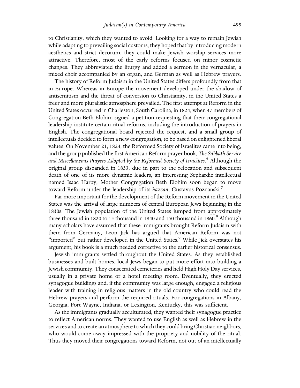to Christianity, which they wanted to avoid. Looking for a way to remain Jewish while adapting to prevailing social customs, they hoped that by introducing modern aesthetics and strict decorum, they could make Jewish worship services more attractive. Therefore, most of the early reforms focused on minor cosmetic changes. They abbreviated the liturgy and added a sermon in the vernacular, a mixed choir accompanied by an organ, and German as well as Hebrew prayers.

The history of Reform Judaism in the United States differs profoundly from that in Europe. Whereas in Europe the movement developed under the shadow of antisemitism and the threat of conversion to Christianity, in the United States a freer and more pluralistic atmosphere prevailed. The first attempt at Reform in the United States occurred in Charleston, South Carolina, in 1824, when 47 members of Congregation Beth Elohim signed a petition requesting that their congregational leadership institute certain ritual reforms, including the introduction of prayers in English. The congregational board rejected the request, and a small group of intellectuals decided to form a new congregation, to be based on enlightened liberal values. On November 21, 1824, the Reformed Society of Israelites came into being, and the group published the first American Reform prayer book, The Sabbath Service and Miscellaneous Prayers Adopted by the Reformed Society of Israelites. <sup>6</sup> Although the original group disbanded in 1833, due in part to the relocation and subsequent death of one of its more dynamic leaders, an interesting Sephardic intellectual named Isaac Harby, Mother Congregation Beth Elohim soon began to move toward Reform under the leadership of its hazzan, Gustavus Poznanski.<sup>7</sup>

Far more important for the development of the Reform movement in the United States was the arrival of large numbers of central European Jews beginning in the 1830s. The Jewish population of the United States jumped from approximately three thousand in 1820 to 15 thousand in 1840 and 150 thousand in 1860.<sup>8</sup> Although many scholars have assumed that these immigrants brought Reform Judaism with them from Germany, Leon Jick has argued that American Reform was not "imported" but rather developed in the United States.<sup>9</sup> While Jick overstates his argument, his book is a much needed corrective to the earlier historical consensus.

Jewish immigrants settled throughout the United States. As they established businesses and built homes, local Jews began to put more effort into building a Jewish community. They consecrated cemeteries and held High Holy Day services, usually in a private home or a hotel meeting room. Eventually, they erected synagogue buildings and, if the community was large enough, engaged a religious leader with training in religious matters in the old country who could read the Hebrew prayers and perform the required rituals. For congregations in Albany, Georgia, Fort Wayne, Indiana, or Lexington, Kentucky, this was sufficient.

As the immigrants gradually acculturated, they wanted their synagogue practice to reflect American norms. They wanted to use English as well as Hebrew in the services and to create an atmosphere to which they could bring Christian neighbors, who would come away impressed with the propriety and nobility of the ritual. Thus they moved their congregations toward Reform, not out of an intellectually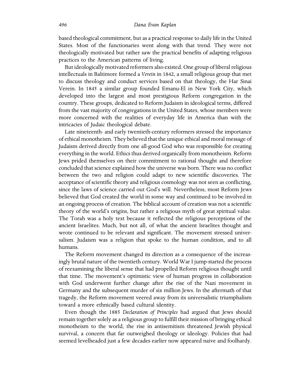based theological commitment, but as a practical response to daily life in the United States. Most of the functionaries went along with that trend. They were not theologically motivated but rather saw the practical benefits of adapting religious practices to the American patterns of living.

But ideologically motivated reformers also existed. One group of liberal religious intellectuals in Baltimore formed a Verein in 1842, a small religious group that met to discuss theology and conduct services based on that theology, the Har Sinai Verein. In 1845 a similar group founded Emanu-El in New York City, which developed into the largest and most prestigious Reform congregation in the country. These groups, dedicated to Reform Judaism in ideological terms, differed from the vast majority of congregations in the United States, whose members were more concerned with the realities of everyday life in America than with the intricacies of Judaic theological debate.

Late nineteenth- and early twentieth-century reformers stressed the importance of ethical monotheism. They believed that the unique ethical and moral message of Judaism derived directly from one all-good God who was responsible for creating everything in the world. Ethics thus derived organically from monotheism. Reform Jews prided themselves on their commitment to rational thought and therefore concluded that science explained how the universe was born. There was no conflict between the two and religion could adapt to new scientific discoveries. The acceptance of scientific theory and religious cosmology was not seen as conflicting, since the laws of science carried out God's will. Nevertheless, most Reform Jews believed that God created the world in some way and continued to be involved in an ongoing process of creation. The biblical account of creation was not a scientific theory of the world's origins, but rather a religious myth of great spiritual value. The Torah was a holy text because it reflected the religious perceptions of the ancient Israelites. Much, but not all, of what the ancient Israelites thought and wrote continued to be relevant and significant. The movement stressed universalism. Judaism was a religion that spoke to the human condition, and to all humans.

The Reform movement changed its direction as a consequence of the increasingly brutal nature of the twentieth century. World War I jump-started the process of reexamining the liberal sense that had propelled Reform religious thought until that time. The movement's optimistic view of human progress in collaboration with God underwent further change after the rise of the Nazi movement in Germany and the subsequent murder of six million Jews. In the aftermath of that tragedy, the Reform movement veered away from its universalistic triumphalism toward a more ethnically based cultural identity.

Even though the 1885 Declaration of Principles had argued that Jews should remain together solely as a religious group to fulfill their mission of bringing ethical monotheism to the world, the rise in antisemitism threatened Jewish physical survival, a concern that far outweighed theology or ideology. Policies that had seemed levelheaded just a few decades earlier now appeared naive and foolhardy.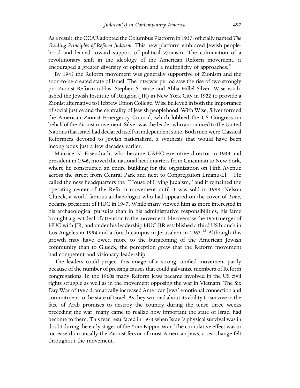As a result, the CCAR adopted the Columbus Platform in 1937, officially named The Guiding Principles of Reform Judaism. This new platform embraced Jewish peoplehood and leaned toward support of political Zionism. The culmination of a revolutionary shift in the ideology of the American Reform movement, it encouraged a greater diversity of opinion and a multiplicity of approaches.<sup>10</sup>

By 1945 the Reform movement was generally supportive of Zionism and the soon-to-be-created state of Israel. The interwar period saw the rise of two strongly pro-Zionist Reform rabbis, Stephen S. Wise and Abba Hillel Silver. Wise established the Jewish Institute of Religion (JIR) in New York City in 1922 to provide a Zionist alternative to Hebrew Union College. Wise believed in both the importance of social justice and the centrality of Jewish peoplehood. With Wise, Silver formed the American Zionist Emergency Council, which lobbied the US Congress on behalf of the Zionist movement. Silver was the leader who announced to the United Nations that Israel had declared itself an independent state. Both men were Classical Reformers devoted to Jewish nationalism, a synthesis that would have been incongruous just a few decades earlier.

Maurice N. Eisendrath, who became UAHC executive director in 1943 and president in 1946, moved the national headquarters from Cincinnati to New York, where he constructed an entire building for the organization on Fifth Avenue across the street from Central Park and next to Congregation Emanu-El.<sup>11</sup> He called the new headquarters the "House of Living Judaism," and it remained the operating center of the Reform movement until it was sold in 1998. Nelson Glueck, a world-famous archaeologist who had appeared on the cover of Time, became president of HUC in 1947. While many viewed him as more interested in his archaeological pursuits than in his administrative responsibilities, his fame brought a great deal of attention to the movement. He oversaw the 1950 merger of HUC with JIR, and under his leadership HUC-JIR established a third US branch in Los Angeles in 1954 and a fourth campus in Jerusalem in 1963.<sup>12</sup> Although this growth may have owed more to the burgeoning of the American Jewish community than to Glueck, the perception grew that the Reform movement had competent and visionary leadership.

The leaders could project this image of a strong, unified movement partly because of the number of pressing causes that could galvanize members of Reform congregations. In the 1960s many Reform Jews became involved in the US civil rights struggle as well as in the movement opposing the war in Vietnam. The Six Day War of 1967 dramatically increased American Jews' emotional connection and commitment to the state of Israel. As they worried about its ability to survive in the face of Arab promises to destroy the country during the tense three weeks preceding the war, many came to realize how important the state of Israel had become to them. This fear resurfaced in 1973 when Israel's physical survival was in doubt during the early stages of the Yom Kippur War. The cumulative effect was to increase dramatically the Zionist fervor of most American Jews, a sea change felt throughout the movement.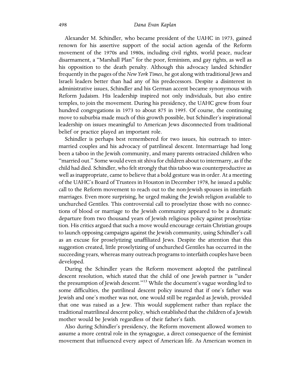#### 498 Dana Evan Kaplan

Alexander M. Schindler, who became president of the UAHC in 1973, gained renown for his assertive support of the social action agenda of the Reform movement of the 1970s and 1980s, including civil rights, world peace, nuclear disarmament, a "Marshall Plan" for the poor, feminism, and gay rights, as well as his opposition to the death penalty. Although this advocacy landed Schindler frequently in the pages of the New York Times, he got along with traditional Jews and Israeli leaders better than had any of his predecessors. Despite a disinterest in administrative issues, Schindler and his German accent became synonymous with Reform Judaism. His leadership inspired not only individuals, but also entire temples, to join the movement. During his presidency, the UAHC grew from four hundred congregations in 1973 to about 875 in 1995. Of course, the continuing move to suburbia made much of this growth possible, but Schindler's inspirational leadership on issues meaningful to American Jews disconnected from traditional belief or practice played an important role.

Schindler is perhaps best remembered for two issues, his outreach to intermarried couples and his advocacy of patrilineal descent. Intermarriage had long been a taboo in the Jewish community, and many parents ostracized children who "married out." Some would even sit shiva for children about to intermarry, as if the child had died. Schindler, who felt strongly that this taboo was counterproductive as well as inappropriate, came to believe that a bold gesture was in order. At a meeting of the UAHC's Board of Trustees in Houston in December 1978, he issued a public call to the Reform movement to reach out to the non-Jewish spouses in interfaith marriages. Even more surprising, he urged making the Jewish religion available to unchurched Gentiles. This controversial call to proselytize those with no connections of blood or marriage to the Jewish community appeared to be a dramatic departure from two thousand years of Jewish religious policy against proselytization. His critics argued that such a move would encourage certain Christian groups to launch opposing campaigns against the Jewish community, using Schindler's call as an excuse for proselytizing unaffiliated Jews. Despite the attention that this suggestion created, little proselytizing of unchurched Gentiles has occurred in the succeeding years, whereas many outreach programs to interfaith couples have been developed.

During the Schindler years the Reform movement adopted the patrilineal descent resolution, which stated that the child of one Jewish partner is "under the presumption of Jewish descent."<sup>13</sup> While the document's vague wording led to some difficulties, the patrilineal descent policy insured that if one's father was Jewish and one's mother was not, one would still be regarded as Jewish, provided that one was raised as a Jew. This would supplement rather than replace the traditional matrilineal descent policy, which established that the children of a Jewish mother would be Jewish regardless of their father's faith.

Also during Schindler's presidency, the Reform movement allowed women to assume a more central role in the synagogue, a direct consequence of the feminist movement that influenced every aspect of American life. As American women in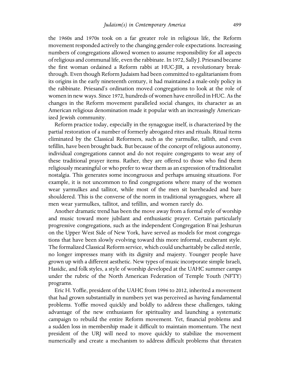the 1960s and 1970s took on a far greater role in religious life, the Reform movement responded actively to the changing gender-role expectations. Increasing numbers of congregations allowed women to assume responsibility for all aspects of religious and communal life, even the rabbinate. In 1972, Sally J. Priesand became the first woman ordained a Reform rabbi at HUC-JIR, a revolutionary breakthrough. Even though Reform Judaism had been committed to egalitarianism from its origins in the early nineteenth century, it had maintained a male-only policy in the rabbinate. Priesand's ordination moved congregations to look at the role of women in new ways. Since 1972, hundreds of women have enrolled in HUC. As the changes in the Reform movement paralleled social changes, its character as an American religious denomination made it popular with an increasingly Americanized Jewish community.

Reform practice today, especially in the synagogue itself, is characterized by the partial restoration of a number of formerly abrogated rites and rituals. Ritual items eliminated by the Classical Reformers, such as the yarmulke, tallith, and even tefillin, have been brought back. But because of the concept of religious autonomy, individual congregations cannot and do not require congregants to wear any of these traditional prayer items. Rather, they are offered to those who find them religiously meaningful or who prefer to wear them as an expression of traditionalist nostalgia. This generates some incongruous and perhaps amusing situations. For example, it is not uncommon to find congregations where many of the women wear yarmulkes and tallitot, while most of the men sit bareheaded and bare shouldered. This is the converse of the norm in traditional synagogues, where all men wear yarmulkes, tallitot, and tefillin, and women rarely do.

Another dramatic trend has been the move away from a formal style of worship and music toward more jubilant and enthusiastic prayer. Certain particularly progressive congregations, such as the independent Congregation B'nai Jeshurun on the Upper West Side of New York, have served as models for most congregations that have been slowly evolving toward this more informal, exuberant style. The formalized Classical Reform service, which could uncharitably be called sterile, no longer impresses many with its dignity and majesty. Younger people have grown up with a different aesthetic. New types of music incorporate simple Israeli, Hasidic, and folk styles, a style of worship developed at the UAHC summer camps under the rubric of the North American Federation of Temple Youth (NFTY) programs.

Eric H. Yoffie, president of the UAHC from 1996 to 2012, inherited a movement that had grown substantially in numbers yet was perceived as having fundamental problems. Yoffie moved quickly and boldly to address these challenges, taking advantage of the new enthusiasm for spirituality and launching a systematic campaign to rebuild the entire Reform movement. Yet, financial problems and a sudden loss in membership made it difficult to maintain momentum. The next president of the URJ will need to move quickly to stabilize the movement numerically and create a mechanism to address difficult problems that threaten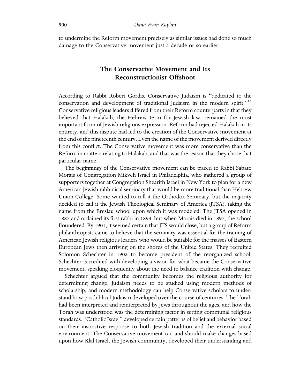to undermine the Reform movement precisely as similar issues had done so much damage to the Conservative movement just a decade or so earlier.

## The Conservative Movement and Its Reconstructionist Offshoot

According to Rabbi Robert Gordis, Conservative Judaism is "dedicated to the conservation and development of traditional Judaism in the modern spirit."<sup>14</sup> Conservative religious leaders differed from their Reform counterparts in that they believed that Halakah, the Hebrew term for Jewish law, remained the most important form of Jewish religious expression. Reform had rejected Halakah in its entirety, and this dispute had led to the creation of the Conservative movement at the end of the nineteenth century. Even the name of the movement derived directly from this conflict. The Conservative movement was more conservative than the Reform in matters relating to Halakah, and that was the reason that they chose that particular name.

The beginnings of the Conservative movement can be traced to Rabbi Sabato Morais of Congregation Mikveh Israel in Philadelphia, who gathered a group of supporters together at Congregation Shearith Israel in New York to plan for a new American Jewish rabbinical seminary that would be more traditional than Hebrew Union College. Some wanted to call it the Orthodox Seminary, but the majority decided to call it the Jewish Theological Seminary of America (JTSA), taking the name from the Breslau school upon which it was modeled. The JTSA opened in 1887 and ordained its first rabbi in 1893, but when Morais died in 1897, the school floundered. By 1901, it seemed certain that JTS would close, but a group of Reform philanthropists came to believe that the seminary was essential for the training of American Jewish religious leaders who would be suitable for the masses of Eastern European Jews then arriving on the shores of the United States. They recruited Solomon Schechter in 1902 to become president of the reorganized school. Schechter is credited with developing a vision for what became the Conservative movement, speaking eloquently about the need to balance tradition with change.

Schechter argued that the community becomes the religious authority for determining change. Judaism needs to be studied using modern methods of scholarship, and modern methodology can help Conservative scholars to understand how postbiblical Judaism developed over the course of centuries. The Torah had been interpreted and reinterpreted by Jews throughout the ages, and how the Torah was understood was the determining factor in setting communal religious standards. "Catholic Israel" developed certain patterns of belief and behavior based on their instinctive response to both Jewish tradition and the external social environment. The Conservative movement can and should make changes based upon how Klal Israel, the Jewish community, developed their understanding and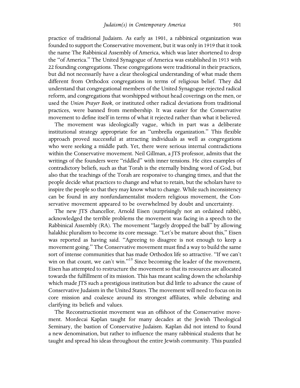practice of traditional Judaism. As early as 1901, a rabbinical organization was founded to support the Conservative movement, but it was only in 1919 that it took the name The Rabbinical Assembly of America, which was later shortened to drop the "of America." The United Synagogue of America was established in 1913 with 22 founding congregations. These congregations were traditional in their practices, but did not necessarily have a clear theological understanding of what made them different from Orthodox congregations in terms of religious belief. They did understand that congregational members of the United Synagogue rejected radical reform, and congregations that worshipped without head coverings on the men, or used the Union Prayer Book, or instituted other radical deviations from traditional practices, were banned from membership. It was easier for the Conservative movement to define itself in terms of what it rejected rather than what it believed.

The movement was ideologically vague, which in part was a deliberate institutional strategy appropriate for an "umbrella organization." This flexible approach proved successful at attracting individuals as well as congregations who were seeking a middle path. Yet, there were serious internal contradictions within the Conservative movement. Neil Gillman, a JTS professor, admits that the writings of the founders were "riddled" with inner tensions. He cites examples of contradictory beliefs, such as that Torah is the eternally binding word of God, but also that the teachings of the Torah are responsive to changing times, and that the people decide what practices to change and what to retain, but the scholars have to inspire the people so that they may know what to change. While such inconsistency can be found in any nonfundamentalist modern religious movement, the Conservative movement appeared to be overwhelmed by doubt and uncertainty.

The new JTS chancellor, Arnold Eisen (surprisingly not an ordained rabbi), acknowledged the terrible problems the movement was facing in a speech to the Rabbinical Assembly (RA). The movement "largely dropped the ball" by allowing halakhic pluralism to become its core message. "Let's be mature about this," Eisen was reported as having said. "Agreeing to disagree is not enough to keep a movement going." The Conservative movement must find a way to build the same sort of intense communities that has made Orthodox life so attractive. "If we can't win on that count, we can't win."<sup>15</sup> Since becoming the leader of the movement, Eisen has attempted to restructure the movement so that its resources are allocated towards the fulfillment of its mission. This has meant scaling down the scholarship which made JTS such a prestigious institution but did little to advance the cause of Conservative Judaism in the United States. The movement will need to focus on its core mission and coalesce around its strongest affiliates, while debating and clarifying its beliefs and values.

The Reconstructionist movement was an offshoot of the Conservative movement. Mordecai Kaplan taught for many decades at the Jewish Theological Seminary, the bastion of Conservative Judaism. Kaplan did not intend to found a new denomination, but rather to influence the many rabbinical students that he taught and spread his ideas throughout the entire Jewish community. This puzzled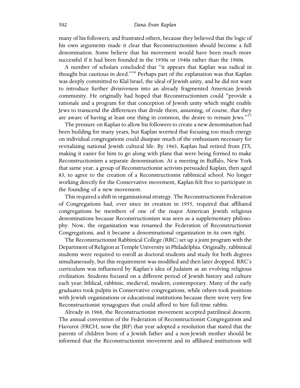many of his followers, and frustrated others, because they believed that the logic of his own arguments made it clear that Reconstructionism should become a full denomination. Some believe that his movement would have been much more successful if it had been founded in the 1930s or 1940s rather than the 1960s.

A number of scholars concluded that "it appears that Kaplan was radical in thought but cautious in deed."<sup>16</sup> Perhaps part of the explanation was that Kaplan was deeply committed to Klal Israel, the ideal of Jewish unity, and he did not want to introduce further divisiveness into an already fragmented American Jewish community. He originally had hoped that Reconstructionism could "provide a rationale and a program for that conception of Jewish unity which might enable Jews to transcend the differences that divide them, assuming, of course, that they are aware of having at least one thing in common, the desire to remain Jews."<sup>17</sup>

The pressure on Kaplan to allow his followers to create a new denomination had been building for many years, but Kaplan worried that focusing too much energy on individual congregations could dissipate much of the enthusiasm necessary for revitalizing national Jewish cultural life. By 1963, Kaplan had retired from JTS, making it easier for him to go along with plans that were being formed to make Reconstructionism a separate denomination. At a meeting in Buffalo, New York that same year, a group of Reconstructionist activists persuaded Kaplan, then aged 83, to agree to the creation of a Reconstructionist rabbinical school. No longer working directly for the Conservative movement, Kaplan felt free to participate in the founding of a new movement.

This required a shift in organizational strategy. The Reconstructionist Federation of Congregations had, ever since its creation in 1955, required that affiliated congregations be members of one of the major American Jewish religious denominations because Reconstructionism was seen as a supplementary philosophy. Now, the organization was renamed the Federation of Reconstructionist Congregations, and it became a denominational organization in its own right.

The Reconstructionist Rabbinical College (RRC) set up a joint program with the Department of Religion at Temple University in Philadelphia. Originally, rabbinical students were required to enroll as doctoral students and study for both degrees simultaneously, but this requirement was modified and then later dropped. RRC's curriculum was influenced by Kaplan's idea of Judaism as an evolving religious civilization. Students focused on a different period of Jewish history and culture each year; biblical, rabbinic, medieval, modern, contemporary. Many of the early graduates took pulpits in Conservative congregations, while others took positions with Jewish organizations or educational institutions because there were very few Reconstructionist synagogues that could afford to hire full-time rabbis.

Already in 1968, the Reconstructionist movement accepted patrilineal descent. The annual convention of the Federation of Reconstructionist Congregations and Havurot (FRCH, now the JRF) that year adopted a resolution that stated that the parents of children born of a Jewish father and a non-Jewish mother should be informed that the Reconstructionist movement and its affiliated institutions will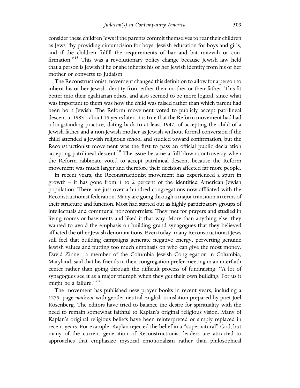consider these children Jews if the parents commit themselves to rear their children as Jews "by providing circumcision for boys, Jewish education for boys and girls, and if the children fulfill the requirements of bar and bat mitzvah or confirmation."<sup>18</sup> This was a revolutionary policy change because Jewish law held that a person is Jewish if he or she inherits his or her Jewish identity from his or her mother or converts to Judaism.

The Reconstructionist movement changed this definition to allow for a person to inherit his or her Jewish identity from either their mother or their father. This fit better into their egalitarian ethos, and also seemed to be more logical, since what was important to them was how the child was raised rather than which parent had been born Jewish. The Reform movement voted to publicly accept patrilineal descent in 1983 – about 15 years later. It is true that the Reform movement had had a longstanding practice, dating back to at least 1947, of accepting the child of a Jewish father and a non-Jewish mother as Jewish without formal conversion if the child attended a Jewish religious school and studied toward confirmation, but the Reconstructionist movement was the first to pass an official public declaration accepting patrilineal descent.<sup>19</sup> The issue became a full-blown controversy when the Reform rabbinate voted to accept patrilineal descent because the Reform movement was much larger and therefore their decision affected far more people.

In recent years, the Reconstructionist movement has experienced a spurt in growth – it has gone from 1 to 2 percent of the identified American Jewish population. There are just over a hundred congregations now affiliated with the Reconstructionist federation. Many are going through a major transition in terms of their structure and function. Most had started out as highly participatory groups of intellectuals and communal nonconformists. They met for prayers and studied in living rooms or basements and liked it that way. More than anything else, they wanted to avoid the emphasis on building grand synagogues that they believed afflicted the other Jewish denominations. Even today, many Reconstructionist Jews still feel that building campaigns generate negative energy, perverting genuine Jewish values and putting too much emphasis on who can give the most money. David Zinner, a member of the Columbia Jewish Congregation in Columbia, Maryland, said that his friends in their congregation prefer meeting in an interfaith center rather than going through the difficult process of fundraising. "A lot of synagogues see it as a major triumph when they get their own building. For us it might be a failure."<sup>20</sup>

The movement has published new prayer books in recent years, including a 1275- page machzor with gender-neutral English translation prepared by poet Joel Rosenberg. The editors have tried to balance the desire for spirituality with the need to remain somewhat faithful to Kaplan's original religious vision. Many of Kaplan's original religious beliefs have been reinterpreted or simply replaced in recent years. For example, Kaplan rejected the belief in a "supernatural" God, but many of the current generation of Reconstructionist leaders are attracted to approaches that emphasize mystical emotionalism rather than philosophical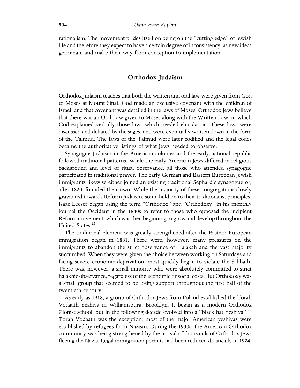rationalism. The movement prides itself on being on the "cutting edge" of Jewish life and therefore they expect to have a certain degree of inconsistency, as new ideas germinate and make their way from conception to implementation.

## Orthodox Judaism

Orthodox Judaism teaches that both the written and oral law were given from God to Moses at Mount Sinai. God made an exclusive covenant with the children of Israel, and that covenant was detailed in the laws of Moses. Orthodox Jews believe that there was an Oral Law given to Moses along with the Written Law, in which God explained verbally those laws which needed elucidation. These laws were discussed and debated by the sages, and were eventually written down in the form of the Talmud. The laws of the Talmud were later codified and the legal codes became the authoritative listings of what Jews needed to observe.

Synagogue Judaism in the American colonies and the early national republic followed traditional patterns. While the early American Jews differed in religious background and level of ritual observance, all those who attended synagogue participated in traditional prayer. The early German and Eastern European Jewish immigrants likewise either joined an existing traditional Sephardic synagogue or, after 1820, founded their own. While the majority of these congregations slowly gravitated towards Reform Judaism, some held on to their traditionalist principles. Isaac Leeser began using the term "Orthodox" and "Orthodoxy" in his monthly journal the Occident in the 1840s to refer to those who opposed the incipient Reform movement, which was then beginning to grow and develop throughout the United States.<sup>21</sup>

The traditional element was greatly strengthened after the Eastern European immigration began in 1881. There were, however, many pressures on the immigrants to abandon the strict observance of Halakah and the vast majority succumbed. When they were given the choice between working on Saturdays and facing severe economic deprivation, most quickly began to violate the Sabbath. There was, however, a small minority who were absolutely committed to strict halakhic observance, regardless of the economic or social costs. But Orthodoxy was a small group that seemed to be losing support throughout the first half of the twentieth century.

As early as 1918, a group of Orthodox Jews from Poland established the Torah Vodaath Yeshiva in Williamsburg, Brooklyn. It began as a modern Orthodox Zionist school, but in the following decade evolved into a "black hat Yeshiva."<sup>22</sup> Torah Vodaath was the exception; most of the major American yeshivas were established by refugees from Nazism. During the 1930s, the American Orthodox community was being strengthened by the arrival of thousands of Orthodox Jews fleeing the Nazis. Legal immigration permits had been reduced drastically in 1924,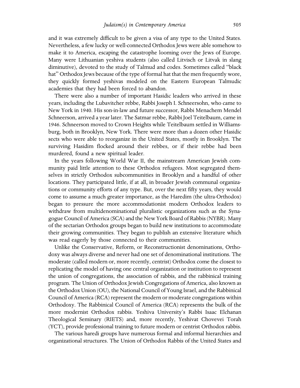and it was extremely difficult to be given a visa of any type to the United States. Nevertheless, a few lucky or well-connected Orthodox Jews were able somehow to make it to America, escaping the catastrophe looming over the Jews of Europe. Many were Lithuanian yeshiva students (also called Litvisch or Litvak in slang diminutive), devoted to the study of Talmud and codes. Sometimes called "black hat" Orthodox Jews because of the type of formal hat that the men frequently wore, they quickly formed yeshivas modeled on the Eastern European Talmudic academies that they had been forced to abandon.

There were also a number of important Hasidic leaders who arrived in these years, including the Lubavitcher rebbe, Rabbi Joseph I. Schneersohn, who came to New York in 1940. His son-in-law and future successor, Rabbi Menachem Mendel Schneerson, arrived a year later. The Satmar rebbe, Rabbi Joel Teitelbaum, came in 1946. Schneerson moved to Crown Heights while Teitelbaum settled in Williamsburg, both in Brooklyn, New York. There were more than a dozen other Hasidic sects who were able to reorganize in the United States, mostly in Brooklyn. The surviving Hasidim flocked around their rebbes, or if their rebbe had been murdered, found a new spiritual leader.

In the years following World War II, the mainstream American Jewish community paid little attention to these Orthodox refugees. Most segregated themselves in strictly Orthodox subcommunities in Brooklyn and a handful of other locations. They participated little, if at all, in broader Jewish communal organizations or community efforts of any type. But, over the next fifty years, they would come to assume a much greater importance, as the Haredim (the ultra-Orthodox) began to pressure the more accommodationist modern Orthodox leaders to withdraw from multidenominational pluralistic organizations such as the Synagogue Council of America (SCA) and the New York Board of Rabbis (NYBR). Many of the sectarian Orthodox groups began to build new institutions to accommodate their growing communities. They began to publish an extensive literature which was read eagerly by those connected to their communities.

Unlike the Conservative, Reform, or Reconstructionist denominations, Orthodoxy was always diverse and never had one set of denominational institutions. The moderate (called modern or, more recently, centrist) Orthodox come the closest to replicating the model of having one central organization or institution to represent the union of congregations, the association of rabbis, and the rabbinical training program. The Union of Orthodox Jewish Congregations of America, also known as the Orthodox Union (OU), the National Council of Young Israel, and the Rabbinical Council of America (RCA) represent the modern or moderate congregations within Orthodoxy. The Rabbinical Council of America (RCA) represents the bulk of the more modernist Orthodox rabbis. Yeshiva University's Rabbi Isaac Elchanan Theological Seminary (RIETS) and, more recently, Yeshivat Chovevei Torah (YCT), provide professional training to future modern or centrist Orthodox rabbis.

The various haredi groups have numerous formal and informal hierarchies and organizational structures. The Union of Orthodox Rabbis of the United States and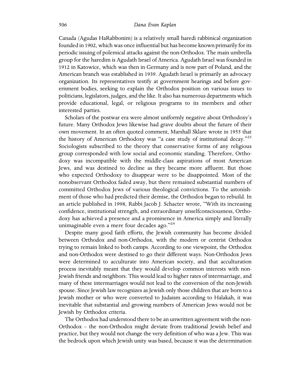Canada (Agudas HaRabbonim) is a relatively small haredi rabbinical organization founded in 1902, which was once influential but has become known primarily for its periodic issuing of polemical attacks against the non-Orthodox. The main umbrella group for the haredim is Agudath Israel of America. Agudath Israel was founded in 1912 in Katowice, which was then in Germany and is now part of Poland, and the American branch was established in 1939. Agudath Israel is primarily an advocacy organization. Its representatives testify at government hearings and before government bodies, seeking to explain the Orthodox position on various issues to politicians, legislators, judges, and the like. It also has numerous departments which provide educational, legal, or religious programs to its members and other interested parties.

Scholars of the postwar era were almost uniformly negative about Orthodoxy's future. Many Orthodox Jews likewise had grave doubts about the future of their own movement. In an often quoted comment, Marshall Sklare wrote in 1955 that the history of American Orthodoxy was "a case study of institutional decay."<sup>23</sup> Sociologists subscribed to the theory that conservative forms of any religious group corresponded with low social and economic standing. Therefore, Orthodoxy was incompatible with the middle-class aspirations of most American Jews, and was destined to decline as they became more affluent. But those who expected Orthodoxy to disappear were to be disappointed. Most of the nonobservant Orthodox faded away, but there remained substantial numbers of committed Orthodox Jews of various theological convictions. To the astonishment of those who had predicted their demise, the Orthodox began to rebuild. In an article published in 1998, Rabbi Jacob J. Schacter wrote, "With its increasing confidence, institutional strength, and extraordinary unselfconsciousness, Orthodoxy has achieved a presence and a prominence in America simply and literally unimaginable even a mere four decades ago."<sup>24</sup>

Despite many good faith efforts, the Jewish community has become divided between Orthodox and non-Orthodox, with the modern or centrist Orthodox trying to remain linked to both camps. According to one viewpoint, the Orthodox and non-Orthodox were destined to go their different ways. Non-Orthodox Jews were determined to acculturate into American society, and that acculturation process inevitably meant that they would develop common interests with non-Jewish friends and neighbors. This would lead to higher rates of intermarriage, and many of these intermarriages would not lead to the conversion of the non-Jewish spouse. Since Jewish law recognizes as Jewish only those children that are born to a Jewish mother or who were converted to Judaism according to Halakah, it was inevitable that substantial and growing numbers of American Jews would not be Jewish by Orthodox criteria.

The Orthodox had understood there to be an unwritten agreement with the non-Orthodox – the non-Orthodox might deviate from traditional Jewish belief and practice, but they would not change the very definition of who was a Jew. This was the bedrock upon which Jewish unity was based, because it was the determination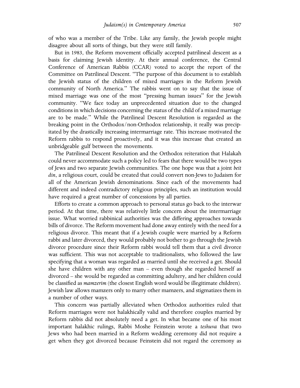of who was a member of the Tribe. Like any family, the Jewish people might disagree about all sorts of things, but they were still family.

But in 1983, the Reform movement officially accepted patrilineal descent as a basis for claiming Jewish identity. At their annual conference, the Central Conference of American Rabbis (CCAR) voted to accept the report of the Committee on Patrilineal Descent. "The purpose of this document is to establish the Jewish status of the children of mixed marriages in the Reform Jewish community of North America." The rabbis went on to say that the issue of mixed marriage was one of the most "pressing human issues" for the Jewish community. "We face today an unprecedented situation due to the changed conditions in which decisions concerning the status of the child of a mixed marriage are to be made." While the Patrilineal Descent Resolution is regarded as the breaking point in the Orthodox/non-Orthodox relationship, it really was precipitated by the drastically increasing intermarriage rate. This increase motivated the Reform rabbis to respond proactively, and it was this increase that created an unbridgeable gulf between the movements.

The Patrilineal Descent Resolution and the Orthodox reiteration that Halakah could never accommodate such a policy led to fears that there would be two types of Jews and two separate Jewish communities. The one hope was that a joint beit din, a religious court, could be created that could convert non-Jews to Judaism for all of the American Jewish denominations. Since each of the movements had different and indeed contradictory religious principles, such an institution would have required a great number of concessions by all parties.

Efforts to create a common approach to personal status go back to the interwar period. At that time, there was relatively little concern about the intermarriage issue. What worried rabbinical authorities was the differing approaches towards bills of divorce. The Reform movement had done away entirely with the need for a religious divorce. This meant that if a Jewish couple were married by a Reform rabbi and later divorced, they would probably not bother to go through the Jewish divorce procedure since their Reform rabbi would tell them that a civil divorce was sufficient. This was not acceptable to traditionalists, who followed the law specifying that a woman was regarded as married until she received a get. Should she have children with any other man – even though she regarded herself as divorced – she would be regarded as committing adultery, and her children could be classified as mamzerim (the closest English word would be illegitimate children). Jewish law allows mamzers only to marry other mamzers, and stigmatizes them in a number of other ways.

This concern was partially alleviated when Orthodox authorities ruled that Reform marriages were not halakhically valid and therefore couples married by Reform rabbis did not absolutely need a get. In what became one of his most important halakhic rulings, Rabbi Moshe Feinstein wrote a teshuva that two Jews who had been married in a Reform wedding ceremony did not require a get when they got divorced because Feinstein did not regard the ceremony as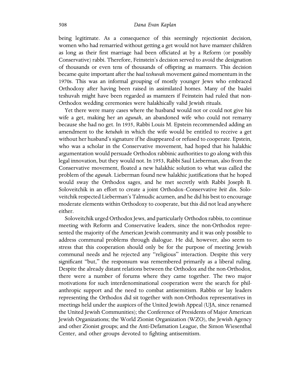being legitimate. As a consequence of this seemingly rejectionist decision, women who had remarried without getting a get would not have mamzer children as long as their first marriage had been officiated at by a Reform (or possibly Conservative) rabbi. Therefore, Feinstein's decision served to avoid the designation of thousands or even tens of thousands of offspring as mamzers. This decision became quite important after the baal teshuvah movement gained momentum in the 1970s. This was an informal grouping of mostly younger Jews who embraced Orthodoxy after having been raised in assimilated homes. Many of the baalei teshuvah might have been regarded as mamzers if Feinstein had ruled that non-Orthodox wedding ceremonies were halakhically valid Jewish rituals.

Yet there were many cases where the husband would not or could not give his wife a get, making her an *agunah*, an abandoned wife who could not remarry because she had no get. In 1935, Rabbi Louis M. Epstein recommended adding an amendment to the ketubah in which the wife would be entitled to receive a get without her husband's signature if he disappeared or refused to cooperate. Epstein, who was a scholar in the Conservative movement, had hoped that his halakhic argumentation would persuade Orthodox rabbinic authorities to go along with this legal innovation, but they would not. In 1953, Rabbi Saul Lieberman, also from the Conservative movement, floated a new halakhic solution to what was called the problem of the agunah. Lieberman found new halakhic justifications that he hoped would sway the Orthodox sages, and he met secretly with Rabbi Joseph B. Soloveitchik in an effort to create a joint Orthodox–Conservative beit din. Soloveitchik respected Lieberman's Talmudic acumen, and he did his best to encourage moderate elements within Orthodoxy to cooperate, but this did not lead anywhere either.

Soloveitchik urged Orthodox Jews, and particularly Orthodox rabbis, to continue meeting with Reform and Conservative leaders, since the non-Orthodox represented the majority of the American Jewish community and it was only possible to address communal problems through dialogue. He did, however, also seem to stress that this cooperation should only be for the purpose of meeting Jewish communal needs and he rejected any "religious" interaction. Despite this very significant "but," the responsum was remembered primarily as a liberal ruling. Despite the already distant relations between the Orthodox and the non-Orthodox, there were a number of forums where they came together. The two major motivations for such interdenominational cooperation were the search for philanthropic support and the need to combat antisemitism. Rabbis or lay leaders representing the Orthodox did sit together with non-Orthodox representatives in meetings held under the auspices of the United Jewish Appeal (UJA, since renamed the United Jewish Communities); the Conference of Presidents of Major American Jewish Organizations; the World Zionist Organization (WZO), the Jewish Agency and other Zionist groups; and the Anti-Defamation League, the Simon Wiesenthal Center, and other groups devoted to fighting antisemitism.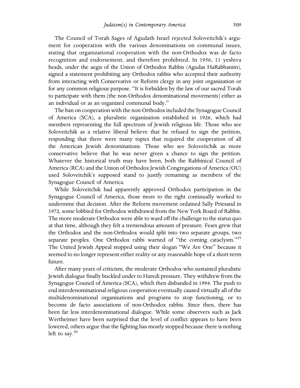The Council of Torah Sages of Agudath Israel rejected Soloveitchik's argument for cooperation with the various denominations on communal issues, stating that organizational cooperation with the non-Orthodox was de facto recognition and endorsement, and therefore prohibited. In 1956, 11 yeshiva heads, under the aegis of the Union of Orthodox Rabbis (Agudas HaRabbanim), signed a statement prohibiting any Orthodox rabbis who accepted their authority from interacting with Conservative or Reform clergy in any joint organization or for any common religious purpose. "It is forbidden by the law of our sacred Torah to participate with them [the non-Orthodox denominational movements] either as an individual or as an organized communal body."

The ban on cooperation with the non-Orthodox included the Synagogue Council of America (SCA), a pluralistic organization established in 1926, which had members representing the full spectrum of Jewish religious life. Those who see Soloveitchik as a relative liberal believe that he refused to sign the petition, responding that there were many topics that required the cooperation of all the American Jewish denominations. Those who see Soloveitchik as more conservative believe that he was never given a chance to sign the petition. Whatever the historical truth may have been, both the Rabbinical Council of America (RCA) and the Union of Orthodox Jewish Congregations of America (OU) used Soloveitchik's supposed stand to justify remaining as members of the Synagogue Council of America.

While Soloveitchik had apparently approved Orthodox participation in the Synagogue Council of America, those more to the right continually worked to undermine that decision. After the Reform movement ordained Sally Priesand in 1972, some lobbied for Orthodox withdrawal from the New York Board of Rabbis. The more moderate Orthodox were able to ward off the challenge to the status quo at that time, although they felt a tremendous amount of pressure. Fears grew that the Orthodox and the non-Orthodox would split into two separate groups, two separate peoples. One Orthodox rabbi warned of "the coming cataclysm."<sup>25</sup> The United Jewish Appeal stopped using their slogan "We Are One" because it seemed to no longer represent either reality or any reasonable hope of a short-term future.

After many years of criticism, the moderate Orthodox who sustained pluralistic Jewish dialogue finally buckled under to Haredi pressure. They withdrew from the Synagogue Council of America (SCA), which then disbanded in 1994. The push to end interdenominational religious cooperation eventually caused virtually all of the multidenominational organizations and programs to stop functioning, or to become de facto associations of non-Orthodox rabbis. Since then, there has been far less interdenominational dialogue. While some observers such as Jack Wertheimer have been surprised that the level of conflict appears to have been lowered, others argue that the fighting has mostly stopped because there is nothing left to say. $26$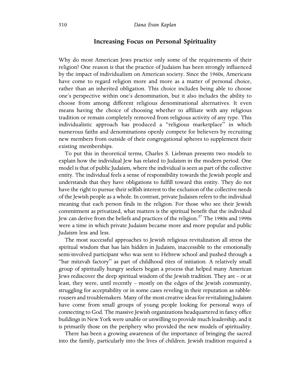### Increasing Focus on Personal Spirituality

Why do most American Jews practice only some of the requirements of their religion? One reason is that the practice of Judaism has been strongly influenced by the impact of individualism on American society. Since the 1960s, Americans have come to regard religion more and more as a matter of personal choice, rather than an inherited obligation. This choice includes being able to choose one's perspective within one's denomination, but it also includes the ability to choose from among different religious denominational alternatives. It even means having the choice of choosing whether to affiliate with any religious tradition or remain completely removed from religious activity of any type. This individualistic approach has produced a "religious marketplace" in which numerous faiths and denominations openly compete for believers by recruiting new members from outside of their congregational spheres to supplement their existing memberships.

To put this in theoretical terms, Charles S. Liebman presents two models to explain how the individual Jew has related to Judaism in the modern period. One model is that of public Judaism, where the individual is seen as part of the collective entity. The individual feels a sense of responsibility towards the Jewish people and understands that they have obligations to fulfill toward this entity. They do not have the right to pursue their selfish interest to the exclusion of the collective needs of the Jewish people as a whole. In contrast, private Judaism refers to the individual meaning that each person finds in the religion. For those who see their Jewish commitment as privatized, what matters is the spiritual benefit that the individual Jew can derive from the beliefs and practices of the religion.27 The 1980s and 1990s were a time in which private Judaism became more and more popular and public Judaism less and less.

The most successful approaches to Jewish religious revitalization all stress the spiritual wisdom that has lain hidden in Judaism, inaccessible to the emotionally semi-involved participant who was sent to Hebrew school and pushed through a "bar mitzvah factory" as part of childhood rites of initiation. A relatively small group of spiritually hungry seekers began a process that helped many American Jews rediscover the deep spiritual wisdom of the Jewish tradition. They are – or at least, they were, until recently – mostly on the edges of the Jewish community, struggling for acceptability or in some cases reveling in their reputation as rabblerousers and troublemakers. Many of the most creative ideas for revitalizing Judaism have come from small groups of young people looking for personal ways of connecting to God. The massive Jewish organizations headquartered in fancy office buildings in New York were unable or unwilling to provide much leadership, and it is primarily those on the periphery who provided the new models of spirituality.

There has been a growing awareness of the importance of bringing the sacred into the family, particularly into the lives of children. Jewish tradition required a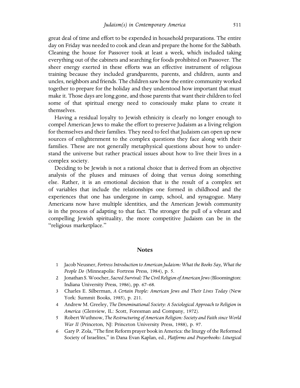great deal of time and effort to be expended in household preparations. The entire day on Friday was needed to cook and clean and prepare the home for the Sabbath. Cleaning the house for Passover took at least a week, which included taking everything out of the cabinets and searching for foods prohibited on Passover. The sheer energy exerted in these efforts was an effective instrument of religious training because they included grandparents, parents, and children, aunts and uncles, neighbors and friends. The children saw how the entire community worked together to prepare for the holiday and they understood how important that must make it. Those days are long gone, and those parents that want their children to feel some of that spiritual energy need to consciously make plans to create it themselves.

Having a residual loyalty to Jewish ethnicity is clearly no longer enough to compel American Jews to make the effort to preserve Judaism as a living religion for themselves and their families. They need to feel that Judaism can open up new sources of enlightenment to the complex questions they face along with their families. These are not generally metaphysical questions about how to understand the universe but rather practical issues about how to live their lives in a complex society.

Deciding to be Jewish is not a rational choice that is derived from an objective analysis of the pluses and minuses of doing that versus doing something else. Rather, it is an emotional decision that is the result of a complex set of variables that include the relationships one formed in childhood and the experiences that one has undergone in camp, school, and synagogue. Many Americans now have multiple identities, and the American Jewish community is in the process of adapting to that fact. The stronger the pull of a vibrant and compelling Jewish spirituality, the more competitive Judaism can be in the "religious marketplace."

#### **Notes**

- 1 Jacob Neusner, Fortress Introduction to American Judaism: What the Books Say, What the People Do (Minneapolis: Fortress Press, 1984), p. 5.
- 2 Jonathan S. Woocher, Sacred Survival: The Civil Religion of American Jews (Bloomington: Indiana University Press, 1986), pp. 67–68.
- 3 Charles E. Silberman, A Certain People: American Jews and Their Lives Today (New York: Summit Books, 1985), p. 211.
- 4 Andrew M. Greeley, The Denominational Society: A Sociological Approach to Religion in America (Glenview, IL: Scott, Foresman and Company, 1972).
- 5 Robert Wuthnow, The Restructuring of American Religion: Society and Faith since World War II (Princeton, NJ: Princeton University Press, 1988), p. 97.
- 6 Gary P. Zola, "The first Reform prayer book in America: the liturgy of the Reformed Society of Israelites," in Dana Evan Kaplan, ed., Platforms and Prayerbooks: Liturgical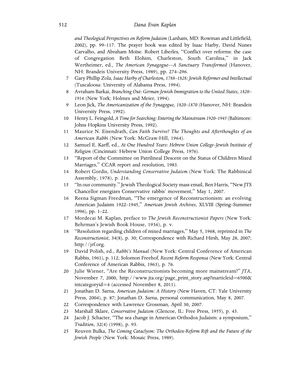#### 512 Dana Evan Kaplan

and Theological Perspectives on Reform Judaism (Lanham, MD: Rowman and Littlefield, 2002), pp. 99–117. The prayer book was edited by Isaac Harby, David Nunes Carvalho, and Abraham Moïse. Robert Liberles, "Conflict over reforms: the case of Congregation Beth Elohim, Charleston, South Carolina," in Jack Wertheimer, ed., The American Synagogue—A Sanctuary Transformed (Hanover, NH: Brandeis University Press, 1989), pp. 274–296.

- 7 Gary Phillip Zola, Isaac Harby of Charleston, 1788–1828: Jewish Reformer and Intellectual (Tuscaloosa: University of Alabama Press, 1994).
- 8 Avraham Barkai, Branching Out: German-Jewish Immigration to the United States, 1820– 1914 (New York: Holmes and Meier, 1994).
- 9 Leon Jick, The Americanization of the Synagogue, 1820–1870 (Hanover, NH: Brandeis University Press, 1992).
- 10 Henry L. Feingold, A Time for Searching: Entering the Mainstream 1920–1945 (Baltimore: Johns Hopkins University Press, 1992).
- 11 Maurice N. Eisendrath, Can Faith Survive? The Thoughts and Afterthoughts of an American Rabbi (New York: McGraw-Hill, 1964).
- 12 Samuel E. Karff, ed., At One Hundred Years: Hebrew Union College–Jewish Institute of Religion (Cincinnati: Hebrew Union College Press, 1976).
- 13 "Report of the Committee on Patrilineal Descent on the Status of Children Mixed Marriages," CCAR report and resolution, 1983.
- 14 Robert Gordis, Understanding Conservative Judaism (New York: The Rabbinical Assembly, 1978), p. 216.
- 15 "In our community." Jewish Theological Society mass email, Ben Harris, "New JTS Chancellor energizes Conservative rabbis' movement," May 1, 2007.
- 16 Reena Sigman Freedman, "The emergence of Reconstructionism: an evolving American Judaism 1922–1945," American Jewish Archives, XLVIII (Spring–Summer 1996), pp. 1–22.
- 17 Mordecai M. Kaplan, preface to The Jewish Reconstructionist Papers (New York: Behrman's Jewish Book House, 1936), p. v.
- 18 "Resolution regarding children of mixed marriages," May 5, 1968, reprinted in The Reconstructionist, 34(8), p. 30; Correspondence with Richard Hirsh, May 28, 2007; http://jrf.org.
- 19 David Polish, ed., Rabbi's Manual (New York: Central Conference of American Rabbis, 1961), p. 112; Solomon Freehof, Recent Reform Responsa (New York: Central Conference of American Rabbis, 1963), p. 76.
- 20 Julie Wiener, "Are the Reconstructionists becoming more mainstream?" JTA, November 7, 2000, http://www.jta.org/page\_print\_story.asp?inarticleid=6500& intcategoryid=4 (accessed November 8, 2011).
- 21 Jonathan D. Sarna, American Judaism: A History (New Haven, CT: Yale University Press, 2004), p. 87; Jonathan D. Sarna, personal communication, May 8, 2007.
- 22 Correspondence with Lawrence Grossman, April 30, 2007.
- 23 Marshall Sklare, Conservative Judaism (Glencoe, IL: Free Press, 1955), p. 43.
- 24 Jacob J. Schacter, "The sea change in American Orthodox Judaism: a symposium," Tradition, 32(4) (1998), p. 93.
- 25 Reuven Bulka, The Coming Cataclysm: The Orthodox-Reform Rift and the Future of the Jewish People (New York: Mosaic Press, 1989).